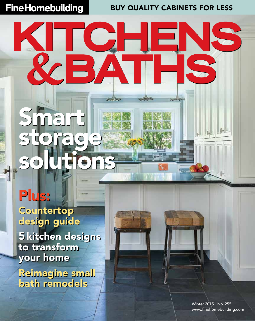**Fine Homebuilding** 

buy quality cabinets for less

**Joseph Street** 

**Supplier A** 

**Augustave** 

## **Countertop** design guide Plus:

Smart

storage

solutions

RCBA

5 kitchen designs to transform your home

Reimagine small bath remodels

> Winter 2015 No. 255 www.finehomebuilding.com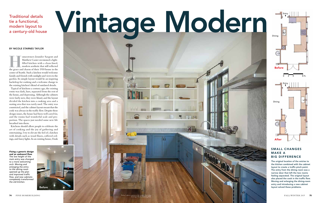Matthew Cazier envisioned a light-<br>filled kitchen with a clean-lined,<br>modern aesthetic that still reflected<br>the grace and charm of their 1918 house in the Matthew Cazier envisioned a lightfilled kitchen with a clean-lined, modern aesthetic that still reflected center of Seattle. Such a kitchen would welcome family and friends with sunlight and views to the garden. Its simple layout would be an inspiring backdrop for cooking and a welcome change to the existing kitchen's blend of outdated details.

Typical of kitchens a century ago, the existing room was dark, bare, separated from the rest of the house, and depressing. Although the cabinets were fairly new, they were bland, and the layout divided the kitchen into a cooking area and a seating area that was rarely used. The entry was constricted, and the cabinet layout meant that the cook was always in the traffic flow. Despite these design issues, the house had been well cared for, and the rooms had wonderful scale and proportion. The spaces just needed some new life breathed into them.

Kitchens should allow people to celebrate the art of cooking and the joy of gathering and entertaining. I try to elevate the feel of a kitchen with details such as wood floors, coffered ceilings, and fancy lights. In an existing house, I look

### tie a functional, modern layout to a century-old house

#### By Nicole Starnes Taylor

*Fixing a generic design and an awkward flow. The low height of the main entry was changed to a more welcoming arch. Moving and enlarging the entry to the dining room opened up the plan and improved traffic flow, and new cabinets completely transformed the old kitchen.*

The original location of the entries to the kitchen combined with the cabinet layout to create a traffic pinch point. The entry from the dining room was a narrow door that left the two rooms feeling separated. The original layout also placed the cook in the traffic flow. Moving and enlarging the dining-room entry and introducing a new cabinet layout solved these problems.

#### Small changes make a big difference



# Traditional details<br>tie a functional,<br>a century-old house





引きる